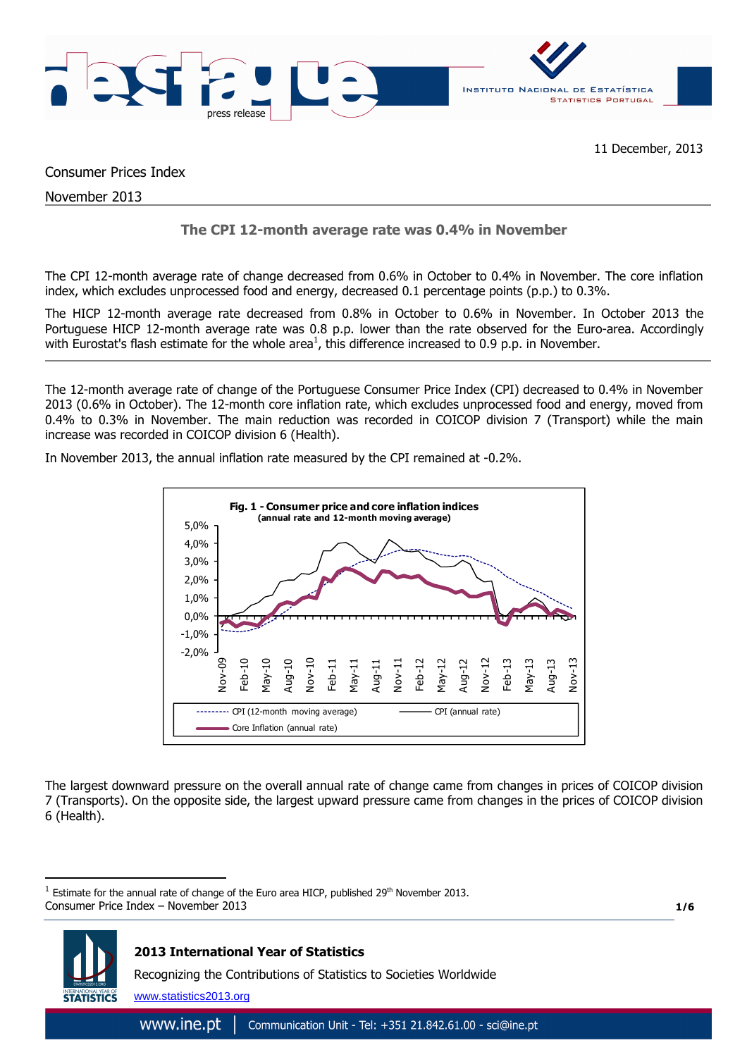

Consumer Prices Index

November 2013

 $\overline{a}$ 

# **The CPI 12-month average rate was 0.4% in November**

The CPI 12-month average rate of change decreased from 0.6% in October to 0.4% in November. The core inflation index, which excludes unprocessed food and energy, decreased 0.1 percentage points (p.p.) to 0.3%.

The HICP 12-month average rate decreased from 0.8% in October to 0.6% in November. In October 2013 the Portuguese HICP 12-month average rate was 0.8 p.p. lower than the rate observed for the Euro-area. Accordingly with Eurostat's flash estimate for the whole area<sup>1</sup>, this difference increased to 0.9 p.p. in November.

The 12-month average rate of change of the Portuguese Consumer Price Index (CPI) decreased to 0.4% in November 2013 (0.6% in October). The 12-month core inflation rate, which excludes unprocessed food and energy, moved from 0.4% to 0.3% in November. The main reduction was recorded in COICOP division 7 (Transport) while the main increase was recorded in COICOP division 6 (Health).

In November 2013, the annual inflation rate measured by the CPI remained at -0.2%.



The largest downward pressure on the overall annual rate of change came from changes in prices of COICOP division 7 (Transports). On the opposite side, the largest upward pressure came from changes in the prices of COICOP division 6 (Health).

**1/6**



Consumer Price Index – November 2013 1 Estimate for the annual rate of change of the Euro area HICP, published 29<sup>th</sup> November 2013.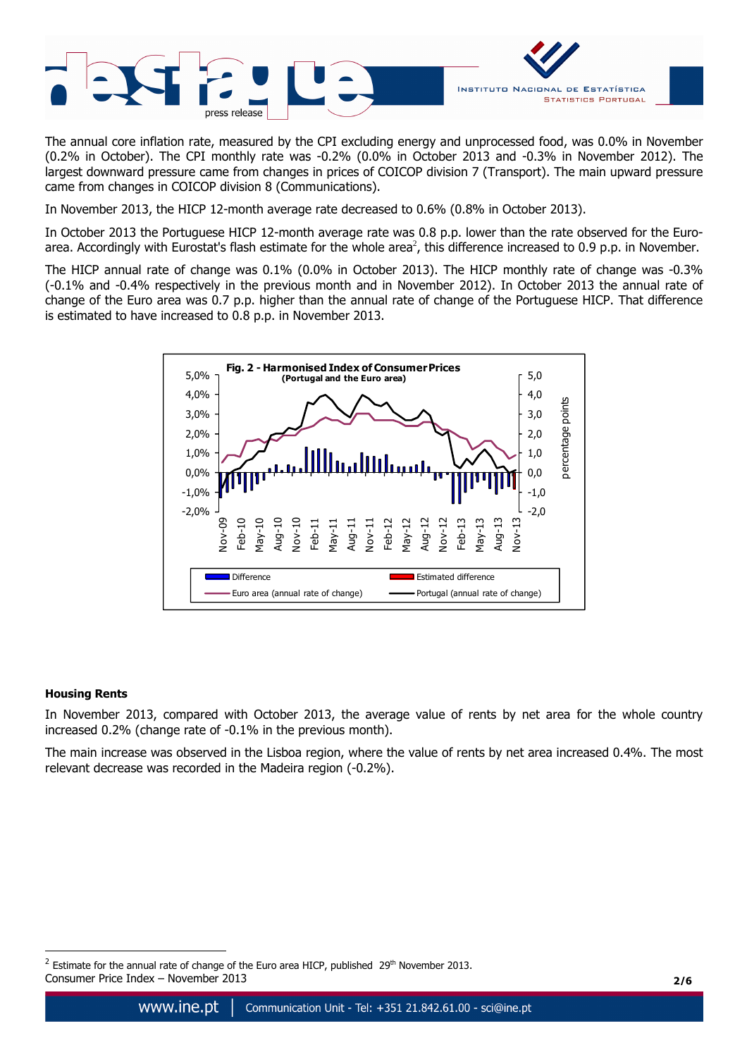

The annual core inflation rate, measured by the CPI excluding energy and unprocessed food, was 0.0% in November (0.2% in October). The CPI monthly rate was -0.2% (0.0% in October 2013 and -0.3% in November 2012). The largest downward pressure came from changes in prices of COICOP division 7 (Transport). The main upward pressure came from changes in COICOP division 8 (Communications).

In November 2013, the HICP 12-month average rate decreased to 0.6% (0.8% in October 2013).

In October 2013 the Portuguese HICP 12-month average rate was 0.8 p.p. lower than the rate observed for the Euroarea. Accordingly with Eurostat's flash estimate for the whole area<sup>2</sup>, this difference increased to 0.9 p.p. in November.

The HICP annual rate of change was 0.1% (0.0% in October 2013). The HICP monthly rate of change was -0.3% (-0.1% and -0.4% respectively in the previous month and in November 2012). In October 2013 the annual rate of change of the Euro area was 0.7 p.p. higher than the annual rate of change of the Portuguese HICP. That difference is estimated to have increased to 0.8 p.p. in November 2013.



## **Housing Rents**

 $\overline{a}$ 

In November 2013, compared with October 2013, the average value of rents by net area for the whole country increased 0.2% (change rate of -0.1% in the previous month).

The main increase was observed in the Lisboa region, where the value of rents by net area increased 0.4%. The most relevant decrease was recorded in the Madeira region (-0.2%).

Consumer Price Index – November 2013 **2/6** <sup>2</sup> Estimate for the annual rate of change of the Euro area HICP, published  $29<sup>th</sup>$  November 2013.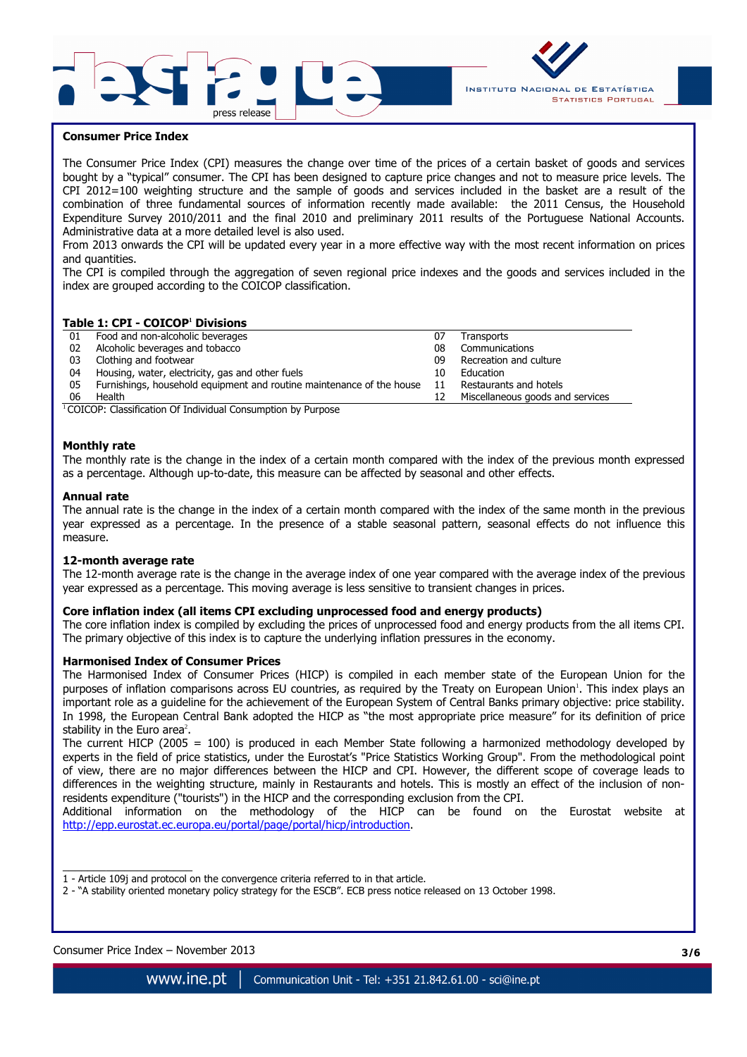



## **Consumer Price Index**

The Consumer Price Index (CPI) measures the change over time of the prices of a certain basket of goods and services bought by a "typical" consumer. The CPI has been designed to capture price changes and not to measure price levels. The CPI 2012=100 weighting structure and the sample of goods and services included in the basket are a result of the combination of three fundamental sources of information recently made available: the 2011 Census, the Household Expenditure Survey 2010/2011 and the final 2010 and preliminary 2011 results of the Portuguese National Accounts. Administrative data at a more detailed level is also used.

From 2013 onwards the CPI will be updated every year in a more effective way with the most recent information on prices and quantities.

The CPI is compiled through the aggregation of seven regional price indexes and the goods and services included in the index are grouped according to the COICOP classification.

#### **Table 1: CPI - COICOP<sup>1</sup> Divisions**

| Food and non-alcoholic beverages                                      | 07 | Transports                       |
|-----------------------------------------------------------------------|----|----------------------------------|
| Alcoholic beverages and tobacco                                       | 08 | Communications                   |
| Clothing and footwear                                                 | 09 | Recreation and culture           |
| Housing, water, electricity, gas and other fuels                      | 10 | Education                        |
| Furnishings, household equipment and routine maintenance of the house | 11 | Restaurants and hotels           |
| Health                                                                |    | Miscellaneous goods and services |
|                                                                       |    |                                  |

<sup>1</sup> COICOP: Classification Of Individual Consumption by Purpose

#### **Monthly rate**

The monthly rate is the change in the index of a certain month compared with the index of the previous month expressed as a percentage. Although up-to-date, this measure can be affected by seasonal and other effects.

#### **Annual rate**

The annual rate is the change in the index of a certain month compared with the index of the same month in the previous year expressed as a percentage. In the presence of a stable seasonal pattern, seasonal effects do not influence this measure.

#### **12-month average rate**

The 12-month average rate is the change in the average index of one year compared with the average index of the previous year expressed as a percentage. This moving average is less sensitive to transient changes in prices.

## **Core inflation index (all items CPI excluding unprocessed food and energy products)**

The core inflation index is compiled by excluding the prices of unprocessed food and energy products from the all items CPI. The primary objective of this index is to capture the underlying inflation pressures in the economy.

#### **Harmonised Index of Consumer Prices**

The Harmonised Index of Consumer Prices (HICP) is compiled in each member state of the European Union for the purposes of inflation comparisons across EU countries, as required by the Treaty on European Union'. This index plays an important role as a guideline for the achievement of the European System of Central Banks primary objective: price stability. In 1998, the European Central Bank adopted the HICP as "the most appropriate price measure" for its definition of price stability in the Euro area<sup>2</sup>.

The current HICP (2005 = 100) is produced in each Member State following a harmonized methodology developed by experts in the field of price statistics, under the Eurostat's "Price Statistics Working Group". From the methodological point of view, there are no major differences between the HICP and CPI. However, the different scope of coverage leads to differences in the weighting structure, mainly in Restaurants and hotels. This is mostly an effect of the inclusion of nonresidents expenditure ("tourists") in the HICP and the corresponding exclusion from the CPI.

Additional information on the methodology of the HICP can be found on the Eurostat website at http://epp.eurostat.ec.europa.eu/portal/page/portal/hicp/introduction.

 $\overline{\phantom{a}}$  , where  $\overline{\phantom{a}}$  , where  $\overline{\phantom{a}}$  , where  $\overline{\phantom{a}}$  ,  $\overline{\phantom{a}}$  ,  $\overline{\phantom{a}}$  ,  $\overline{\phantom{a}}$  ,  $\overline{\phantom{a}}$  ,  $\overline{\phantom{a}}$  ,  $\overline{\phantom{a}}$  ,  $\overline{\phantom{a}}$  ,  $\overline{\phantom{a}}$  ,  $\overline{\phantom{a}}$  ,  $\overline{\phantom{a}}$  ,  $\overline{\phantom$ 1 - Article 109j and protocol on the convergence criteria referred to in that article.

2 - "A stability oriented monetary policy strategy for the ESCB". ECB press notice released on 13 October 1998.

#### Consumer Price Index – November 2013 **3/6**

www.ine.pt Communication Unit - Tel: +351 21.842.61.00 - sci@ine.pt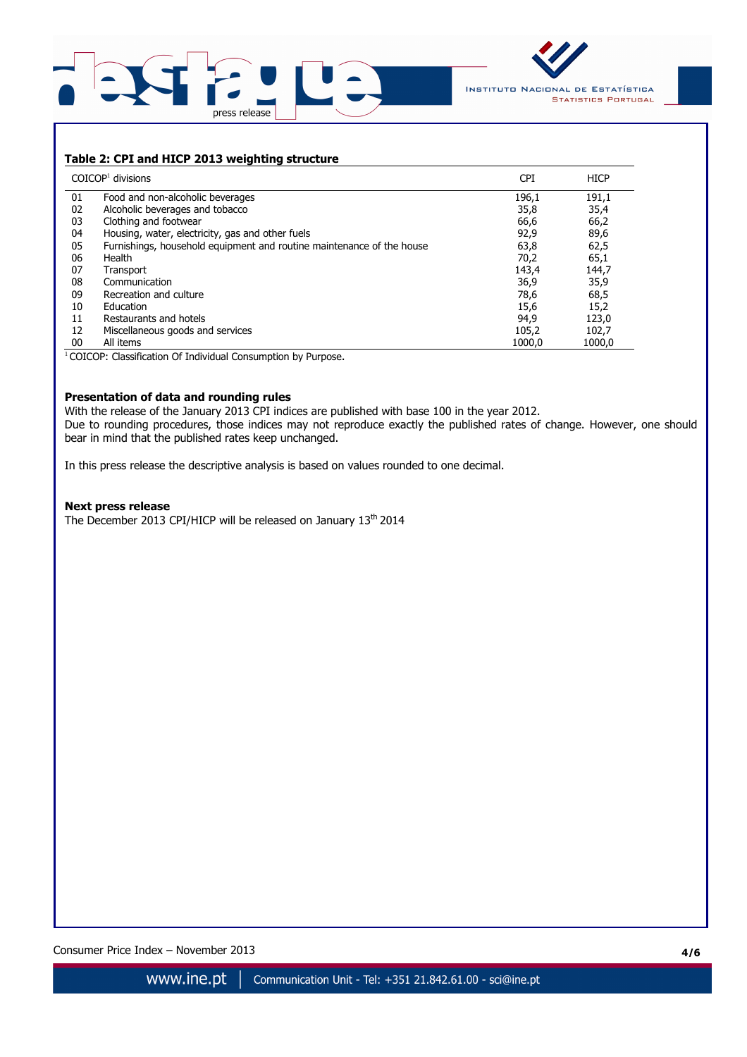



## **Table 2: CPI and HICP 2013 weighting structure**

|    | $COICOP1$ divisions                                                   | <b>CPI</b> | <b>HICP</b> |
|----|-----------------------------------------------------------------------|------------|-------------|
| 01 | Food and non-alcoholic beverages                                      | 196,1      | 191,1       |
| 02 | Alcoholic beverages and tobacco                                       | 35,8       | 35,4        |
| 03 | Clothing and footwear                                                 | 66,6       | 66,2        |
| 04 | Housing, water, electricity, gas and other fuels                      | 92,9       | 89,6        |
| 05 | Furnishings, household equipment and routine maintenance of the house | 63,8       | 62,5        |
| 06 | Health                                                                | 70,2       | 65,1        |
| 07 | Transport                                                             | 143,4      | 144,7       |
| 08 | Communication                                                         | 36,9       | 35,9        |
| 09 | Recreation and culture                                                | 78,6       | 68,5        |
| 10 | Education                                                             | 15,6       | 15,2        |
| 11 | Restaurants and hotels                                                | 94,9       | 123,0       |
| 12 | Miscellaneous goods and services                                      | 105,2      | 102,7       |
| 00 | All items                                                             | 1000.0     | 1000.0      |

<sup>1</sup> COICOP: Classification Of Individual Consumption by Purpose.

## **Presentation of data and rounding rules**

With the release of the January 2013 CPI indices are published with base 100 in the year 2012. Due to rounding procedures, those indices may not reproduce exactly the published rates of change. However, one should bear in mind that the published rates keep unchanged.

In this press release the descriptive analysis is based on values rounded to one decimal.

#### **Next press release**

The December 2013 CPI/HICP will be released on January 13<sup>th</sup> 2014

Consumer Price Index – November 2013 **4/6**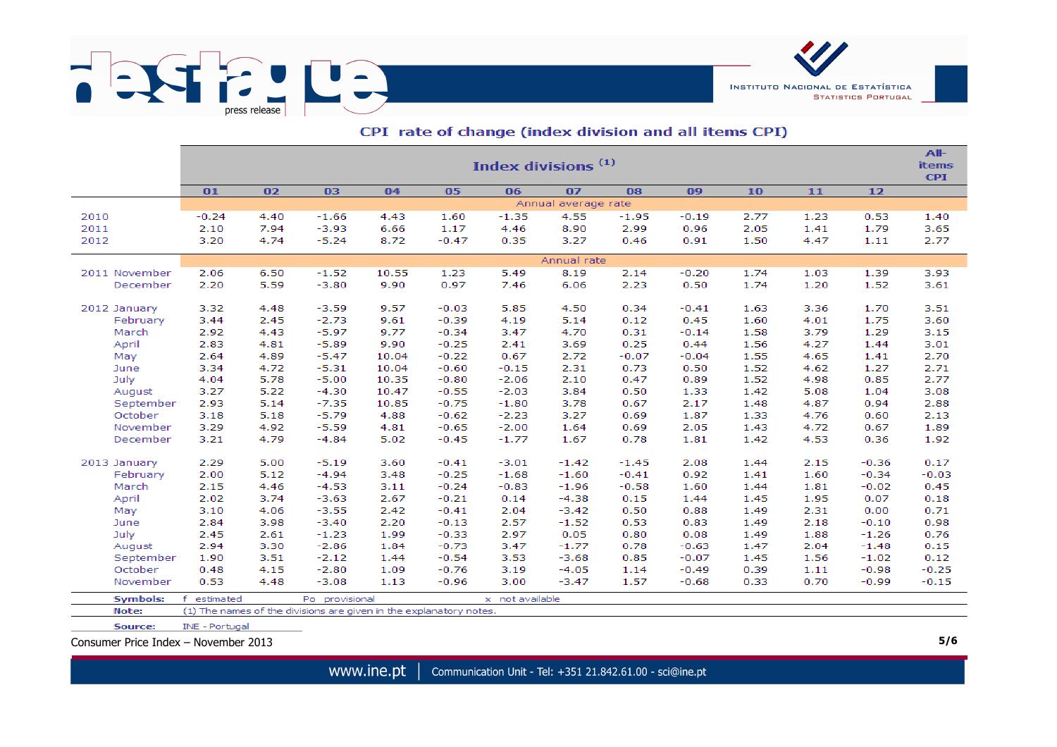

|                   | Index divisions <sup>(1)</sup> |              |                                                                    |              |                    |                 |                     |              |              |              |              |                 |                            |  |
|-------------------|--------------------------------|--------------|--------------------------------------------------------------------|--------------|--------------------|-----------------|---------------------|--------------|--------------|--------------|--------------|-----------------|----------------------------|--|
|                   |                                |              |                                                                    |              |                    |                 |                     |              |              |              |              |                 | <b>items</b><br><b>CPI</b> |  |
|                   | 01                             | 02           | 03                                                                 | 04           | 05                 | 06              | 07                  | 08           | 09           | 10           | 11           | $12$            |                            |  |
|                   |                                |              |                                                                    |              |                    |                 | Annual average rate |              |              |              |              |                 |                            |  |
| 2010              | $-0.24$                        | 4.40         | $-1.66$                                                            | 4.43         | 1.60               | $-1.35$         | 4.55                | $-1.95$      | $-0.19$      | 2.77         | 1.23         | 0.53            | 1.40                       |  |
| 2011              | 2.10                           | 7.94         | $-3.93$                                                            | 6.66         | 1.17               | 4.46            | 8.90                | 2.99         | 0.96         | 2.05         | 1.41         | 1.79            | 3.65                       |  |
| 2012              | 3.20                           | 4.74         | $-5.24$                                                            | 8.72         | $-0.47$            | 0.35            | 3.27                | 0.46         | 0.91         | 1.50         | 4.47         | 1.11            | 2.77                       |  |
|                   |                                |              |                                                                    |              |                    |                 | Annual rate         |              |              |              |              |                 |                            |  |
| 2011 November     | 2.06                           | 6.50         | $-1.52$                                                            | 10.55        | 1.23               | 5.49            | 8.19                | 2.14         | $-0.20$      | 1.74         | 1.03         | 1.39            | 3.93                       |  |
| December          | 2.20                           | 5.59         | $-3.80$                                                            | 9.90         | 0.97               | 7.46            | 6.06                | 2.23         | 0.50         | 1.74         | 1.20         | 1.52            | 3.61                       |  |
| 2012 January      | 3.32                           | 4.48         | $-3.59$                                                            | 9.57         | $-0.03$            | 5.85            | 4.50                | 0.34         | $-0.41$      | 1.63         | 3.36         | 1.70            | 3.51                       |  |
| February          | 3.44                           | 2.45         | $-2.73$                                                            | 9.61         | $-0.39$            | 4.19            | 5.14                | 0.12         | 0.45         | 1.60         | 4.01         | 1.75            | 3.60                       |  |
| March             | 2.92                           | 4.43         | $-5.97$                                                            | 9.77         | $-0.34$            | 3.47            | 4.70                | 0.31         | $-0.14$      | 1.58         | 3.79         | 1.29            | 3.15                       |  |
| April             | 2.83                           | 4.81         | $-5.89$                                                            | 9.90         | $-0.25$            | 2.41            | 3.69                | 0.25         | 0.44         | 1.56         | 4.27         | 1.44            | 3.01                       |  |
| May               | 2.64                           | 4.89         | $-5.47$                                                            | 10.04        | $-0.22$            | 0.67            | 2.72                | $-0.07$      | $-0.04$      | 1.55         | 4.65         | 1.41            | 2.70                       |  |
| June              | 3.34                           | 4.72         | $-5.31$                                                            | 10.04        | $-0.60$            | $-0.15$         | 2.31                | 0.73         | 0.50         | 1.52         | 4.62         | 1.27            | 2.71                       |  |
| July              | 4.04                           | 5.78         | $-5.00$                                                            | 10.35        | $-0.80$            | $-2.06$         | 2.10                | 0.47         | 0.89         | 1.52         | 4.98         | 0.85            | 2.77                       |  |
| August            | 3.27                           | 5.22         | $-4.30$                                                            | 10.47        | $-0.55$            | $-2.03$         | 3.84                | 0.50         | 1.33         | 1.42         | 5.08         | 1.04            | 3.08                       |  |
| September         | 2.93                           | 5.14         | $-7.35$                                                            | 10.85        | $-0.75$            | $-1.80$         | 3.78                | 0.67         | 2.17         | 1.48         | 4.87         | 0.94            | 2.88                       |  |
| October           | 3.18                           | 5.18         | $-5.79$                                                            | 4.88         | $-0.62$            | $-2.23$         | 3.27                | 0.69         | 1.87         | 1.33         | 4.76         | 0.60            | 2.13                       |  |
| November          | 3.29                           | 4.92         | $-5.59$                                                            | 4.81         | $-0.65$            | $-2.00$         | 1.64                | 0.69         | 2.05         | 1.43         | 4.72         | 0.67            | 1.89                       |  |
| December          | 3.21                           | 4.79         | $-4.84$                                                            | 5.02         | $-0.45$            | $-1.77$         | 1.67                | 0.78         | 1.81         | 1.42         | 4.53         | 0.36            | 1.92                       |  |
|                   |                                |              |                                                                    |              |                    |                 |                     |              |              |              |              |                 |                            |  |
| 2013 January      | 2.29                           | 5.00         | $-5.19$                                                            | 3.60         | $-0.41$            | $-3.01$         | $-1.42$             | $-1.45$      | 2.08         | 1.44         | 2.15         | $-0.36$         | 0.17                       |  |
| February<br>March | 2.00                           | 5.12<br>4.46 | $-4.94$                                                            | 3.48         | $-0.25$<br>$-0.24$ | $-1.68$         | $-1.60$             | $-0.41$      | 0.92         | 1.41         | 1.60         | $-0.34$         | $-0.03$                    |  |
|                   | 2.15<br>2.02                   | 3.74         | $-4.53$                                                            | 3.11<br>2.67 |                    | $-0.83$         | $-1.96$             | $-0.58$      | 1.60         | 1.44<br>1.45 | 1.81         | $-0.02$<br>0.07 | 0.45                       |  |
| April<br>May      | 3.10                           | 4.06         | $-3.63$<br>$-3.55$                                                 | 2.42         | $-0.21$<br>$-0.41$ | 0.14<br>2.04    | $-4.38$<br>$-3.42$  | 0.15<br>0.50 | 1.44<br>0.88 | 1.49         | 1.95<br>2.31 | 0.00            | 0.18<br>0.71               |  |
| June              | 2.84                           | 3.98         | $-3.40$                                                            | 2.20         | $-0.13$            | 2.57            | $-1.52$             | 0.53         | 0.83         | 1.49         | 2.18         | $-0.10$         | 0.98                       |  |
| July              | 2.45                           | 2.61         | $-1.23$                                                            | 1.99         | $-0.33$            | 2.97            | 0.05                | 0.80         | 0.08         | 1.49         | 1.88         | $-1.26$         | 0.76                       |  |
| August            | 2.94                           | 3.30         | $-2.86$                                                            | 1.84         | $-0.73$            | 3.47            | $-1.77$             | 0.78         | $-0.63$      | 1.47         | 2.04         | $-1.48$         | 0.15                       |  |
| September         | 1.90                           | 3.51         | $-2.12$                                                            | 1.44         | $-0.54$            | 3.53            | $-3.68$             | 0.85         | $-0.07$      | 1.45         | 1.56         | $-1.02$         | 0.12                       |  |
| October           | 0.48                           | 4.15         | $-2.80$                                                            | 1.09         | $-0.76$            | 3.19            | $-4.05$             | 1.14         | $-0.49$      | 0.39         | 1.11         | $-0.98$         | $-0.25$                    |  |
| November          | 0.53                           | 4.48         | $-3.08$                                                            | 1.13         | $-0.96$            | 3.00            | $-3.47$             | 1.57         | $-0.68$      | 0.33         | 0.70         | $-0.99$         | $-0.15$                    |  |
|                   |                                |              |                                                                    |              |                    |                 |                     |              |              |              |              |                 |                            |  |
| <b>Symbols:</b>   | $\mathbf{f}$<br>estimated      |              | Po provisional                                                     |              |                    | x not available |                     |              |              |              |              |                 |                            |  |
| Note:             |                                |              | (1) The names of the divisions are given in the explanatory notes. |              |                    |                 |                     |              |              |              |              |                 |                            |  |

## CPI rate of change (index division and all items CPI)

Source: INE - Portugal

Consumer Price Index – November 2013 **5/6**

**INSTITUTO NACIONAL DE ESTATÍSTICA** 

**STATISTICS PORTUGAL**